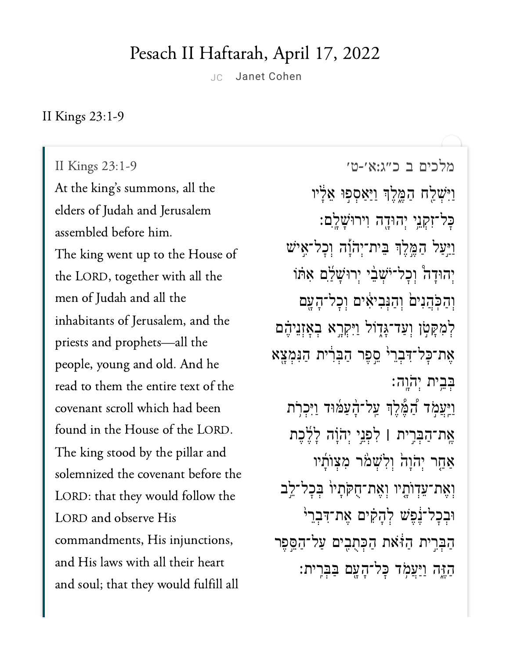## Pesach II Haftarah, April 17, 2022

JC Janet [Cohen](https://www.sefaria.org/profile/janet-cohen)

II Kings 23:1-9

II Kings  $23:1-9$ At the king's summons, all the elders of Judah and Jerusalem assembled before him. The king went up to the House of the LORD, together with all the men of Judah and all the inhabitants of Jerusalem, and the priests and prophets-all the people, young and old. And he read to them the entire text of the covenant scroll which had been found in the House of the LORD. The king stood by the pillar and solemnized the covenant before the LORD: that they would follow the LORD and observe His commandments, His injunctions, and sould function functions  $\overrightarrow{r}$ and soul; that they would fulfill all

מלכים <sup>ב</sup> [כ״ג:א׳-ט׳](https://www.sefaria.org/II%20Kings%2023:1-9) 23:1-9 Kings II ַוַיִּשְׁלַח הַמֱלֶךְ וַיַּאַסְפִוּ אֵלְיו ׇּכל־ִזְקֵ֥ני ְיהּוָ֖דה ִוירּוָׁשָֽ͏ִלם׃ ַוַּ֣יַעל ַהֶּ֣מֶלְך ֵּבית־ְיֹהָ֡וה ְוׇכל־ִ֣איׁש יִהוּדָה וְכָל־יֹּשָׁבֵ<sup>ׂ</sup>י יְרוּשָׁלִַם אִתּוֹ וְהַכְּהֲנִים וְהַנִּבִיאִים וְכָל־הָעֵם לְמִקְטְן וְעַד־גָּדֶוֹל וַיִּקְרֶא בְאָזְנֵיהֶם אֶת־כַל־דְּבְרֵי<sup>י</sup> סֱפֶר הַבְּרִית הַנִּמְצֵא ּבִּבִית יְהַׂוַה׃ וַיִּעֲמָׂד וַ<sub>ּ</sub>הַמֶּלֶךְ עַל־הָעַמּוּד וַיִּכְרִת ֶֽאת־ַהְּבִ֣רית **׀** ִלְפֵ֣ני ְיֹהָ֗וה ָלֶ֜לֶכת ַאַחַר יְהֹוַה וְלִשְׁמֹר מְצְוֹתָיו וְאֶת־עֵדְוֹתָיו וְאֶת־חָקֹתַיוֹ בִּכָל־לֵב  $\epsilon$ וּבְכַל־נֶׁפֵּשׁ לְהָקִים אֱת־דִּבְרֵי ַהְּבִ֣רית ַהֹּ֔זאת ַהְּכֻתִ֖בים ַעל־ַהֵּ֣סֶפר ּהֲזֶה וַיַּעֲמָׂד כָּל־הָעָם בַּבְּרֵית: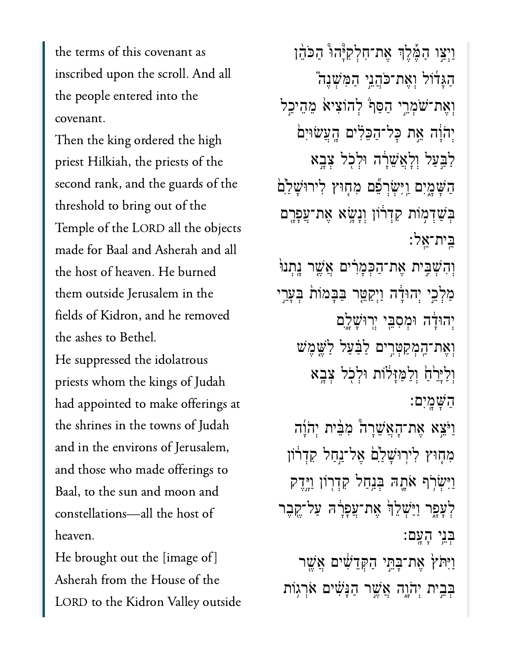the terms of this covenant as inscribed upon the scroll. And all the people entered into the Then the king ordered the high

Then the king ordered the high priest Hilkiah, the priests of the second rank, and the guards of the threshold to bring out of the  $\overline{T}$  1  $\overline{C}$  Lopp  $\overline{B}$  1  $\overline{C}$ made for Baal and Asherah and all the host of heaven. He burned them outside Jerusalem in the fields of Kidron, and he removed the ashes to Bethel.

He suppressed the idolatrous priests whom the kings of Judah had appointed to make offerings at the shrines in the towns of Judah and in the environs of Jerusalem, and those who made offerings to Baal, to the sun and moon and heaven.<br>heaven.  $\mathbf{H}$ 

He brought out the [image of] Asherah from the House of the LORD to the Kidron Valley outside

וַיִצַו הַמֶּלֵךְ אֶת־חִלְקִיּּהוּ הַכֹּהֶן ַהָּג֜דֹול ְוֶאת־ֹּכֲהֵ֣ני ַהִּמְׁשֶנ֮ה וְאֶת־שַׁמְרֵי הַסֵּף לְהוֹצִיא מֵהֵיכֵל יְהֹוֵֹה אֵת כַּל־הַכֵּלִים הֲעֲשׂוּיִם ַלַּבְּעַל וְלָאֲשֶׁרָה וּלְכְל צָבֵא הַשָּׁמֲיִם וַיִּשְׂרִפֶּם מִחָּוּץ לִירוּשָׁלַ<sup>יֹ</sup>ם ַבְּשָׁדָמִוֹת קִדְרֹוֹן וְנַשֵּׂא אֶת־עֲפָרֵם ֵּֽבית־ֵֽאל׃ וְהִשָּׁבִּית אֶת־הַכְּמָרִים אֲשֶׁר נֵתְנוּ ַמְלָכֵי יְהוּדַּ֫ה וַיִּקַטֱר בַּבַּמוֹת בִּעֲרֵי יְהוּדָּׂה וּמִסְבֵּי יִרְוּשָׁלֵם וְאֶת־הָמְקַטְּרֵים לַבַּעַל לַ<sup>ּ</sup>שֱמֵשׁ וְלַיֵּרֵ֗חָ֔ וְלִמְזַיְלֹוֹת וּלְכֹל צָבֵא ַהָּׁשָֽמִים׃ וַיֹּצֵא אֶת־הָאֲשֵׁרָה מִבִּ֫ית יְהֹוָה מִחָּוּץ לִירוּשָׁלַם אֱל־נַחַל קִדְרֹוֹן וַיִּשְׂרִׂף אֹתֵהּ בְּנַחַל קִדְרִוֹן וַיֵּדֶק לְעַפָר וַיַּּשָׁלֵךְ אֶת־עֲפָרָה עַל־קֶבֶר ְּבֵ֥ני ָהָֽעם׃ ַוַיִּתֹּץׂ אֶת־בָּחֱי הַקְּדֵשִׁ֫יִם אֲשֵׁר בְּבֵית יְהֹוֵה אֲשֶׁר הַנַּשִׁ֫ים אֹרְגִוֹת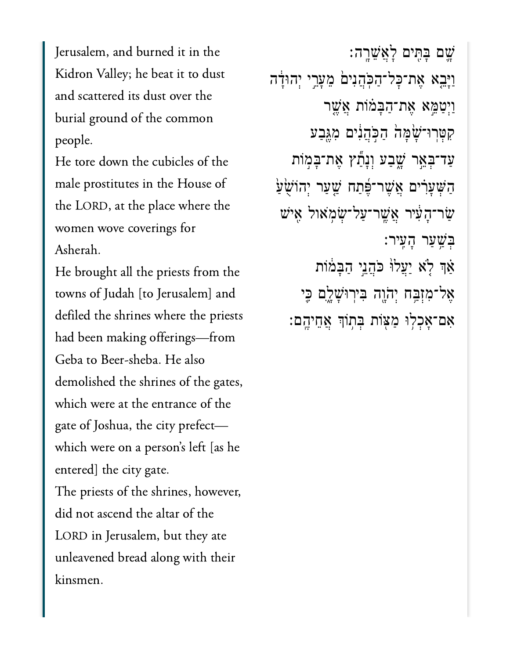Jerusalem, and burned it in the Kidron Valley; he beat it to dust and scattered its dust over the burial ground of the common  $\frac{1}{1}$ 

He tore down the cubicles of the  $n$  male prostitutes in the House of the LORD, at the place where the  $\begin{array}{c} \hline \text{A} & \text{B} \\ \text{A} & \text{C} \end{array}$ 

He brought all the priests from the towns of Judah [to Jerusalem] and defiled the shrines where the priests had been making offerings-from Geba to Beer-sheba. He also demolished the shrines of the gates, which were at the entrance of the gate of Joshua, the city prefectwhich were on a person's left [as he entered] the city gate. The priests of the shrines, however, did not ascend the altar of the LORD in Jerusalem, but they ate unleavened bread along with their kinsmen.

ָׁ֛שם ָּבִּ֖תים ָלֲאֵׁשָֽרה׃ ַוָּיֵ֤בא ֶאת־ׇּכל־ַהֹּֽכֲהִני֙ם ֵמָעֵ֣רי ְיהּוָ֔דה וַיְטַמֵּא אֶת־הַבְּמֹוֹת אֲשֱר קִטְּרִוּ־שָׁמָּהֹ הַכְּהֲנִים מִגֶּבַע ַעַד־בְּאֵר שֲבַע וְנָתַן אֶת־בָּמִוֹת ֿהַשָּׁעָרִים אֲשֶׁר־פֶּֿתַח שַׁעַר יְהוֹשָׂעַ ַׂשר־ָהִ֔עיר ֲאֶֽׁשר־ַעל־ְׂשֹ֥מאול ִ֖איׁש ְּבַׁ֥שַער ָהִֽעיר׃  $i$ וּ לְא יַעֲלוֹ כֹּהֲנֵי הַבְּמֹוֹת אֶל־מִזְבָּח יְהֹוֶה ּבִירִוּשָׁלֶם כֵּי ָאָם־אָכְלִוּ מַצְּוֹת בְּתְוֹךְ אֲחֵיהֱם: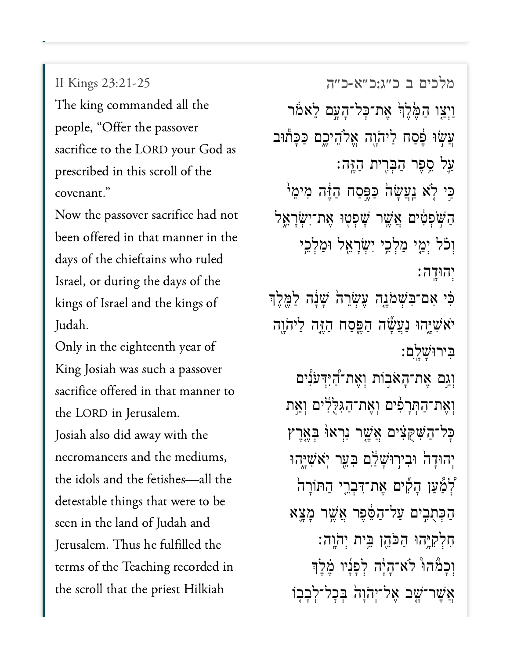II Kings 23:21-25

The king commanded all the people, "Offer the passover sacrifice to the LORD your God as prescribed in this scroll of the covenant."

 $\mathbf{b}$  between  $\mathbf{b}$  that manner in the manner in the manner in the manner in the manner in the manner in the manner in the manner in the manner in the manner in the manner in the manner in the manner in the manner i been offered in that manner in the days of the chieftains who ruled Israel, or during the days of the  $\overline{1}$   $\overline{1}$ Only in the eighteenth year of

 $\Omega$  Josiah was such a passover  $\Omega$ King Josiah was such a passover sacrifice offered in that manner to  $J_{\text{top}}$   $J_{\text{top}}$   $J_{\text{top}}$ Josiah also did away with the

ns,<br>the necromancers and the mediums,  $d \cdot 1$  things the total were to be the to be the to be the to be the to be the to be the to be the to be the to be the to be the to be the to be the to be the to be the to be the to be the to be the to be the to be the t detestable things that were to be seen in the land of Judah and Jerusalem. Thus he fulfilled the terms of the Teaching recorded in the scroll that the priest Hilkiah

מלכים <sup>ב</sup> [כ״ג:כ״א-כ״ה](https://www.sefaria.org/II%20Kings%2023:21-25) 23:21-25 Kings II ַוְיָצֵו הַמֶּ֫לֶךְׂ אֶת־כָּל־הָעֲם לֵאֹמֹר ַעֲשׂוּ פֵסַח לַיהֹוֶה אֱלֹהֶיכֵם כַּכָּתוּב ַּעֲל סֱפֶר הַבְּרֵית הַזֶּה: ּכֵּי לָׂא וַעֲשָׂה כַּפֵּסַח הַזֶּה מִימֵ<sup>וֹ</sup> ַהַשְׁפְטִּים אֲשֵׁר שָׁפְטִוּ אֶת־יְשָׂרָאֱל וְכֹ*ּׁל יְמֵי מַלְ*כֵי יִשְׂרָאֵל וּמַלְכֵי ְיהּוָֽדה׃ ּבִּ֫י אִם־בִּשְׁמֹגֵה עֵשְׂרֵה שָׁנָה לַמֵּלֵך יֹא<sup>ָ</sup>שָׁיֶהוּ נַעֲשֶׁה הַפֵּסַח הַזֶּה לַיהֹוָה ִּבירּוָׁשָֽ͏ִלם׃ ְוְגֵם אֶת־הָאֹבְוֹת וְאֶת־הַיִּדְּעֹנִים וְאֶת־הַתְּרָפִ<sup>ּי</sup>ם וְאֶת־הַגִּלְלִים וְאֵת ּכַל־הַשִּׁקִצִּ֫יִם אֲשֶׁר נִרְאוּ בְּאֱרֶץ יְהוּדַה וּבִירִוּ<sup>ּ</sup>שַׁלֵּם בְּעֵר יִא*ֹ*שָיַהוּ ַלְמַ֫עַן הָקִים אֶת־דִּבְרֵי הַתּוֹרָה ַהְכִּתְבֵים עֲל־הַפֶּ֫פֶר אֲשֶׁר מַצֵּא ִחְלִקָּ֥יהּו ַהֹּכֵ֖הן ֵּ֥בית ְי ֹה ָֽוֹהָֽוה׃ וְכַמֶּ֫הוּ יִלְא־הִיּה לְפַנִיו מֵקַ<sup>ּ</sup>דִּ ֿאֲשֶׁר־שָׁב אֱל־יְהֹוַה בְּכָל־לְבָבְוֹ